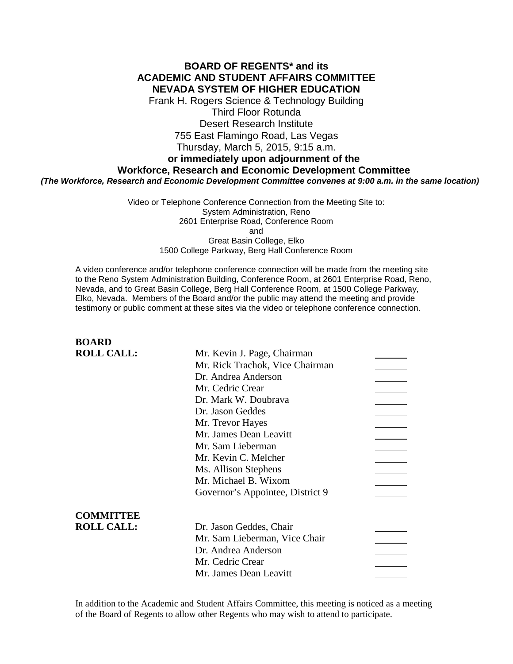### **BOARD OF REGENTS\* and its ACADEMIC AND STUDENT AFFAIRS COMMITTEE NEVADA SYSTEM OF HIGHER EDUCATION**

Frank H. Rogers Science & Technology Building Third Floor Rotunda Desert Research Institute 755 East Flamingo Road, Las Vegas Thursday, March 5, 2015, 9:15 a.m.

### **or immediately upon adjournment of the**

### **Workforce, Research and Economic Development Committee**

*(The Workforce, Research and Economic Development Committee convenes at 9:00 a.m. in the same location)*

Video or Telephone Conference Connection from the Meeting Site to: System Administration, Reno 2601 Enterprise Road, Conference Room and Great Basin College, Elko 1500 College Parkway, Berg Hall Conference Room

A video conference and/or telephone conference connection will be made from the meeting site to the Reno System Administration Building, Conference Room, at 2601 Enterprise Road, Reno, Nevada, and to Great Basin College, Berg Hall Conference Room, at 1500 College Parkway, Elko, Nevada. Members of the Board and/or the public may attend the meeting and provide testimony or public comment at these sites via the video or telephone conference connection.

# **BOARD ROLL CALL:** Mr. Kevin J. Page, Chairman Mr. Rick Trachok, Vice Chairman Dr. Andrea Anderson Mr. Cedric Crear Dr. Mark W. Doubrava Dr. Jason Geddes Mr. Trevor Hayes Mr. James Dean Leavitt Mr. Sam Lieberman Mr. Kevin C. Melcher Ms. Allison Stephens Mr. Michael B. Wixom Governor's Appointee, District 9 **COMMITTEE ROLL CALL:** Dr. Jason Geddes, Chair Mr. Sam Lieberman, Vice Chair  $\overline{\phantom{a}}$ Dr. Andrea Anderson Mr. Cedric Crear Mr. James Dean Leavitt

In addition to the Academic and Student Affairs Committee, this meeting is noticed as a meeting of the Board of Regents to allow other Regents who may wish to attend to participate.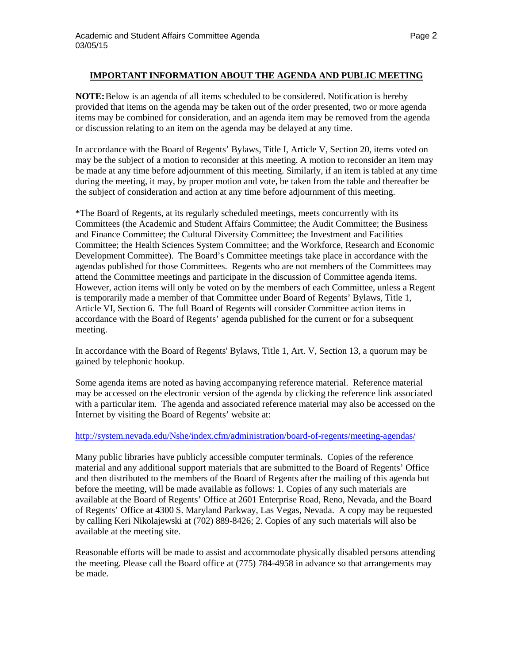### **IMPORTANT INFORMATION ABOUT THE AGENDA AND PUBLIC MEETING**

**NOTE:**Below is an agenda of all items scheduled to be considered. Notification is hereby provided that items on the agenda may be taken out of the order presented, two or more agenda items may be combined for consideration, and an agenda item may be removed from the agenda or discussion relating to an item on the agenda may be delayed at any time.

In accordance with the Board of Regents' Bylaws, Title I, Article V, Section 20, items voted on may be the subject of a motion to reconsider at this meeting. A motion to reconsider an item may be made at any time before adjournment of this meeting. Similarly, if an item is tabled at any time during the meeting, it may, by proper motion and vote, be taken from the table and thereafter be the subject of consideration and action at any time before adjournment of this meeting.

\*The Board of Regents, at its regularly scheduled meetings, meets concurrently with its Committees (the Academic and Student Affairs Committee; the Audit Committee; the Business and Finance Committee; the Cultural Diversity Committee; the Investment and Facilities Committee; the Health Sciences System Committee; and the Workforce, Research and Economic Development Committee). The Board's Committee meetings take place in accordance with the agendas published for those Committees. Regents who are not members of the Committees may attend the Committee meetings and participate in the discussion of Committee agenda items. However, action items will only be voted on by the members of each Committee, unless a Regent is temporarily made a member of that Committee under Board of Regents' Bylaws, Title 1, Article VI, Section 6. The full Board of Regents will consider Committee action items in accordance with the Board of Regents' agenda published for the current or for a subsequent meeting.

In accordance with the Board of Regents' Bylaws, Title 1, Art. V, Section 13, a quorum may be gained by telephonic hookup.

Some agenda items are noted as having accompanying reference material. Reference material may be accessed on the electronic version of the agenda by clicking the reference link associated with a particular item. The agenda and associated reference material may also be accessed on the Internet by visiting the Board of Regents' website at:

### <http://system.nevada.edu/Nshe/index.cfm/administration/board-of-regents/meeting-agendas/>

Many public libraries have publicly accessible computer terminals. Copies of the reference material and any additional support materials that are submitted to the Board of Regents' Office and then distributed to the members of the Board of Regents after the mailing of this agenda but before the meeting, will be made available as follows: 1. Copies of any such materials are available at the Board of Regents' Office at 2601 Enterprise Road, Reno, Nevada, and the Board of Regents' Office at 4300 S. Maryland Parkway, Las Vegas, Nevada. A copy may be requested by calling Keri Nikolajewski at (702) 889-8426; 2. Copies of any such materials will also be available at the meeting site.

Reasonable efforts will be made to assist and accommodate physically disabled persons attending the meeting. Please call the Board office at (775) 784-4958 in advance so that arrangements may be made.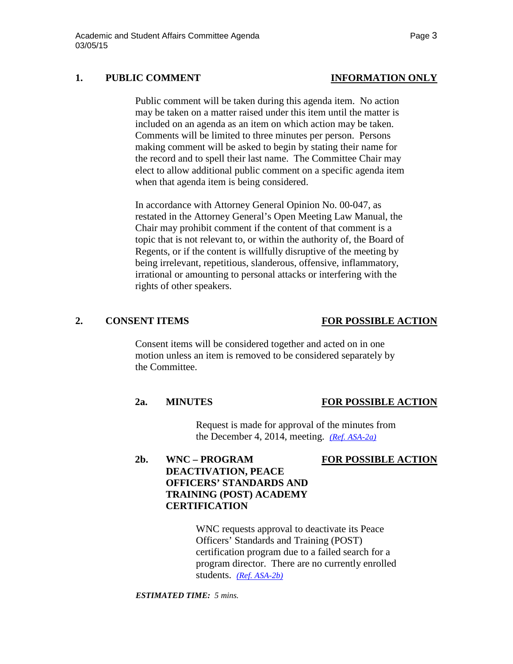## **1. PUBLIC COMMENT INFORMATION ONLY**

Public comment will be taken during this agenda item. No action may be taken on a matter raised under this item until the matter is included on an agenda as an item on which action may be taken. Comments will be limited to three minutes per person. Persons making comment will be asked to begin by stating their name for the record and to spell their last name. The Committee Chair may elect to allow additional public comment on a specific agenda item when that agenda item is being considered.

In accordance with Attorney General Opinion No. 00-047, as restated in the Attorney General's Open Meeting Law Manual, the Chair may prohibit comment if the content of that comment is a topic that is not relevant to, or within the authority of, the Board of Regents, or if the content is willfully disruptive of the meeting by being irrelevant, repetitious, slanderous, offensive, inflammatory, irrational or amounting to personal attacks or interfering with the rights of other speakers.

## **2. CONSENT ITEMS FOR POSSIBLE ACTION**

Consent items will be considered together and acted on in one motion unless an item is removed to be considered separately by the Committee.

### **2a. MINUTES FOR POSSIBLE ACTION**

Request is made for approval of the minutes from the December 4, 2014, meeting. *[\(Ref. ASA-2a\)](http://system.nevada.edu/tasks/sites/Nshe/assets/File/BoardOfRegents/Agendas/2015/mar-mtgs/asa-refs/ASA-2a.pdf)*

### **2b. WNC – PROGRAM FOR POSSIBLE ACTION**

# **DEACTIVATION, PEACE OFFICERS' STANDARDS AND TRAINING (POST) ACADEMY CERTIFICATION**

WNC requests approval to deactivate its Peace Officers' Standards and Training (POST) certification program due to a failed search for a program director. There are no currently enrolled students. *[\(Ref. ASA-2b\)](http://system.nevada.edu/tasks/sites/Nshe/assets/File/BoardOfRegents/Agendas/2015/mar-mtgs/asa-refs/ASA-2b.pdf)*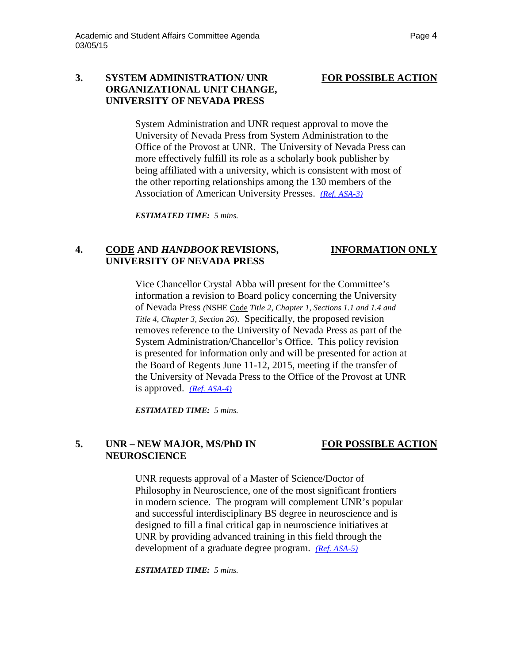### **3. SYSTEM ADMINISTRATION/ UNR FOR POSSIBLE ACTION ORGANIZATIONAL UNIT CHANGE, UNIVERSITY OF NEVADA PRESS**

System Administration and UNR request approval to move the University of Nevada Press from System Administration to the Office of the Provost at UNR. The University of Nevada Press can more effectively fulfill its role as a scholarly book publisher by being affiliated with a university, which is consistent with most of the other reporting relationships among the 130 members of the Association of American University Presses. *[\(Ref. ASA-3\)](http://system.nevada.edu/tasks/sites/Nshe/assets/File/BoardOfRegents/Agendas/2015/mar-mtgs/asa-refs/ASA-3.pdf)*

*ESTIMATED TIME: 5 mins.*

# **4. CODE AND** *HANDBOOK* **REVISIONS, INFORMATION ONLY UNIVERSITY OF NEVADA PRESS**

Vice Chancellor Crystal Abba will present for the Committee's information a revision to Board policy concerning the University of Nevada Press *(*NSHE Code *Title 2, Chapter 1, Sections 1.1 and 1.4 and Title 4, Chapter 3, Section 26)*. Specifically, the proposed revision removes reference to the University of Nevada Press as part of the System Administration/Chancellor's Office. This policy revision is presented for information only and will be presented for action at the Board of Regents June 11-12, 2015, meeting if the transfer of the University of Nevada Press to the Office of the Provost at UNR is approved. *[\(Ref. ASA-4\)](http://system.nevada.edu/tasks/sites/Nshe/assets/File/BoardOfRegents/Agendas/2015/mar-mtgs/asa-refs/ASA-4.pdf)*

*ESTIMATED TIME: 5 mins.*

## **5. UNR – NEW MAJOR, MS/PhD IN FOR POSSIBLE ACTION NEUROSCIENCE**

UNR requests approval of a Master of Science/Doctor of Philosophy in Neuroscience, one of the most significant frontiers in modern science. The program will complement UNR's popular and successful interdisciplinary BS degree in neuroscience and is designed to fill a final critical gap in neuroscience initiatives at UNR by providing advanced training in this field through the development of a graduate degree program. *[\(Ref. ASA-5\)](http://system.nevada.edu/tasks/sites/Nshe/assets/File/BoardOfRegents/Agendas/2015/mar-mtgs/asa-refs/ASA-5.pdf)*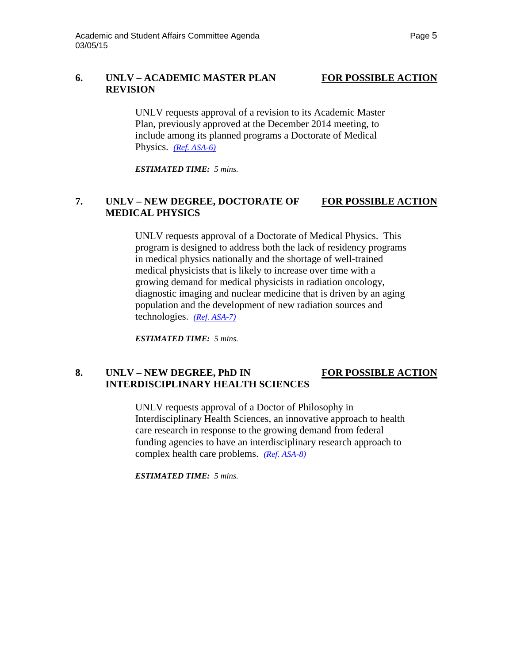# **6. UNLV – ACADEMIC MASTER PLAN FOR POSSIBLE ACTION REVISION**

UNLV requests approval of a revision to its Academic Master Plan, previously approved at the December 2014 meeting, to include among its planned programs a Doctorate of Medical Physics. *[\(Ref. ASA-6\)](http://system.nevada.edu/tasks/sites/Nshe/assets/File/BoardOfRegents/Agendas/2015/mar-mtgs/asa-refs/ASA-6.pdf)*

*ESTIMATED TIME: 5 mins.*

# **7. UNLV – NEW DEGREE, DOCTORATE OF FOR POSSIBLE ACTION MEDICAL PHYSICS**

UNLV requests approval of a Doctorate of Medical Physics. This program is designed to address both the lack of residency programs in medical physics nationally and the shortage of well-trained medical physicists that is likely to increase over time with a growing demand for medical physicists in radiation oncology, diagnostic imaging and nuclear medicine that is driven by an aging population and the development of new radiation sources and technologies. *[\(Ref. ASA-7\)](http://system.nevada.edu/tasks/sites/Nshe/assets/File/BoardOfRegents/Agendas/2015/mar-mtgs/asa-refs/ASA-7.pdf)*

*ESTIMATED TIME: 5 mins.*

# **8. UNLV – NEW DEGREE, PhD IN FOR POSSIBLE ACTION INTERDISCIPLINARY HEALTH SCIENCES**

UNLV requests approval of a Doctor of Philosophy in Interdisciplinary Health Sciences, an innovative approach to health care research in response to the growing demand from federal funding agencies to have an interdisciplinary research approach to complex health care problems. *[\(Ref. ASA-8\)](http://system.nevada.edu/tasks/sites/Nshe/assets/File/BoardOfRegents/Agendas/2015/mar-mtgs/asa-refs/ASA-8.pdf)*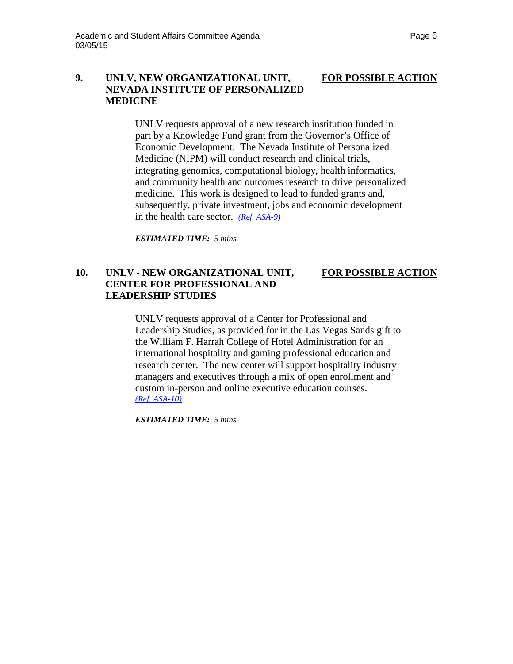# **9. UNLV, NEW ORGANIZATIONAL UNIT, FOR POSSIBLE ACTION NEVADA INSTITUTE OF PERSONALIZED MEDICINE**

UNLV requests approval of a new research institution funded in part by a Knowledge Fund grant from the Governor's Office of Economic Development. The Nevada Institute of Personalized Medicine (NIPM) will conduct research and clinical trials, integrating genomics, computational biology, health informatics, and community health and outcomes research to drive personalized medicine. This work is designed to lead to funded grants and, subsequently, private investment, jobs and economic development in the health care sector. *[\(Ref. ASA-9\)](http://system.nevada.edu/tasks/sites/Nshe/assets/File/BoardOfRegents/Agendas/2015/mar-mtgs/asa-refs/ASA-9.pdf)*

*ESTIMATED TIME: 5 mins.*

## **10. UNLV - NEW ORGANIZATIONAL UNIT, FOR POSSIBLE ACTION CENTER FOR PROFESSIONAL AND LEADERSHIP STUDIES**

UNLV requests approval of a Center for Professional and Leadership Studies, as provided for in the Las Vegas Sands gift to the William F. Harrah College of Hotel Administration for an international hospitality and gaming professional education and research center. The new center will support hospitality industry managers and executives through a mix of open enrollment and custom in-person and online executive education courses. *[\(Ref. ASA-10\)](http://system.nevada.edu/tasks/sites/Nshe/assets/File/BoardOfRegents/Agendas/2015/mar-mtgs/asa-refs/ASA-10.pdf)*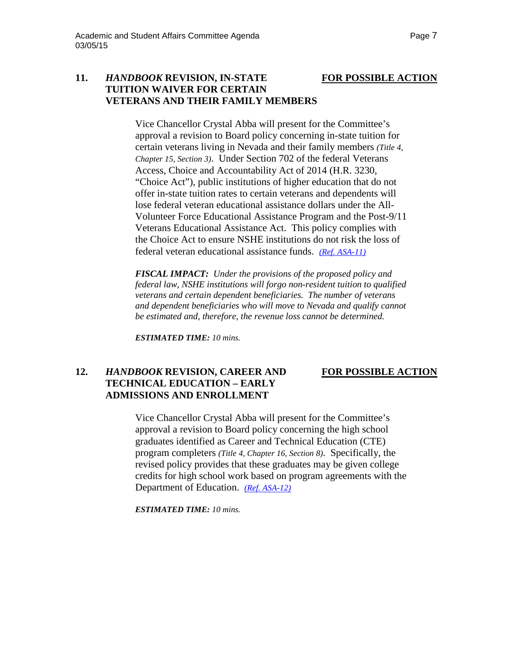## **11.** *HANDBOOK* **REVISION, IN-STATE FOR POSSIBLE ACTION TUITION WAIVER FOR CERTAIN VETERANS AND THEIR FAMILY MEMBERS**

Vice Chancellor Crystal Abba will present for the Committee's approval a revision to Board policy concerning in-state tuition for certain veterans living in Nevada and their family members *(Title 4, Chapter 15, Section 3)*. Under Section 702 of the federal Veterans Access, Choice and Accountability Act of 2014 (H.R. 3230, "Choice Act"), public institutions of higher education that do not offer in-state tuition rates to certain veterans and dependents will lose federal veteran educational assistance dollars under the All-Volunteer Force Educational Assistance Program and the Post-9/11 Veterans Educational Assistance Act. This policy complies with the Choice Act to ensure NSHE institutions do not risk the loss of federal veteran educational assistance funds. *[\(Ref. ASA-11\)](http://system.nevada.edu/tasks/sites/Nshe/assets/File/BoardOfRegents/Agendas/2015/mar-mtgs/asa-refs/ASA-11.pdf)*

*FISCAL IMPACT: Under the provisions of the proposed policy and federal law, NSHE institutions will forgo non-resident tuition to qualified veterans and certain dependent beneficiaries. The number of veterans and dependent beneficiaries who will move to Nevada and qualify cannot be estimated and, therefore, the revenue loss cannot be determined.* 

*ESTIMATED TIME: 10 mins.*

# **12.** *HANDBOOK* **REVISION, CAREER AND FOR POSSIBLE ACTION TECHNICAL EDUCATION – EARLY ADMISSIONS AND ENROLLMENT**

Vice Chancellor Crystal Abba will present for the Committee's approval a revision to Board policy concerning the high school graduates identified as Career and Technical Education (CTE) program completers *(Title 4, Chapter 16, Section 8)*. Specifically, the revised policy provides that these graduates may be given college credits for high school work based on program agreements with the Department of Education. *[\(Ref. ASA-12\)](http://system.nevada.edu/tasks/sites/Nshe/assets/File/BoardOfRegents/Agendas/2015/mar-mtgs/asa-refs/ASA-12.pdf)*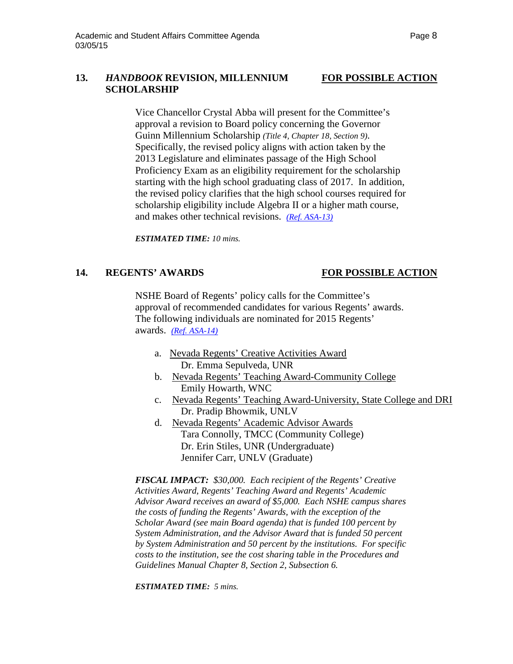# **13.** *HANDBOOK* **REVISION, MILLENNIUM FOR POSSIBLE ACTION SCHOLARSHIP**

Vice Chancellor Crystal Abba will present for the Committee's approval a revision to Board policy concerning the Governor Guinn Millennium Scholarship *(Title 4, Chapter 18, Section 9)*. Specifically, the revised policy aligns with action taken by the 2013 Legislature and eliminates passage of the High School Proficiency Exam as an eligibility requirement for the scholarship starting with the high school graduating class of 2017. In addition, the revised policy clarifies that the high school courses required for scholarship eligibility include Algebra II or a higher math course, and makes other technical revisions. *[\(Ref. ASA-13\)](http://system.nevada.edu/tasks/sites/Nshe/assets/File/BoardOfRegents/Agendas/2015/mar-mtgs/asa-refs/ASA-13.pdf)*

*ESTIMATED TIME: 10 mins.*

# **14. REGENTS' AWARDS FOR POSSIBLE ACTION**

NSHE Board of Regents' policy calls for the Committee's approval of recommended candidates for various Regents' awards. The following individuals are nominated for 2015 Regents' awards. *[\(Ref. ASA-14\)](http://system.nevada.edu/tasks/sites/Nshe/assets/File/BoardOfRegents/Agendas/2015/mar-mtgs/asa-refs/ASA-14.pdf)*

- a. Nevada Regents' Creative Activities Award Dr. Emma Sepulveda, UNR
- b. Nevada Regents' Teaching Award-Community College Emily Howarth, WNC
- c. Nevada Regents' Teaching Award-University, State College and DRI Dr. Pradip Bhowmik, UNLV
- d. Nevada Regents' Academic Advisor Awards Tara Connolly, TMCC (Community College) Dr. Erin Stiles, UNR (Undergraduate) Jennifer Carr, UNLV (Graduate)

*FISCAL IMPACT: \$30,000. Each recipient of the Regents' Creative Activities Award, Regents' Teaching Award and Regents' Academic Advisor Award receives an award of \$5,000. Each NSHE campus shares the costs of funding the Regents' Awards, with the exception of the Scholar Award (see main Board agenda) that is funded 100 percent by System Administration, and the Advisor Award that is funded 50 percent by System Administration and 50 percent by the institutions. For specific costs to the institution, see the cost sharing table in the Procedures and Guidelines Manual Chapter 8, Section 2, Subsection 6.*